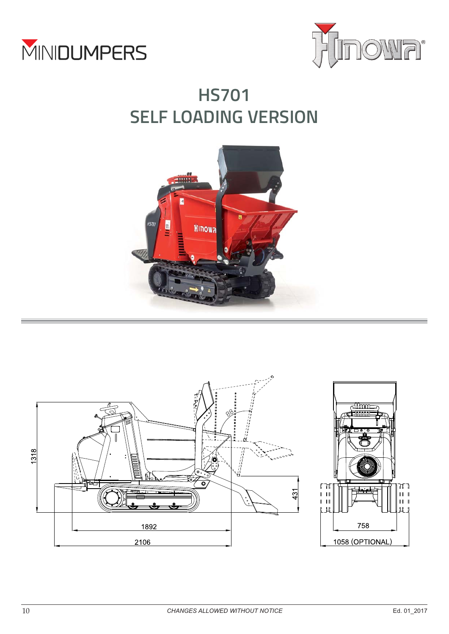



# **HS701 SELF LOADING VERSION**